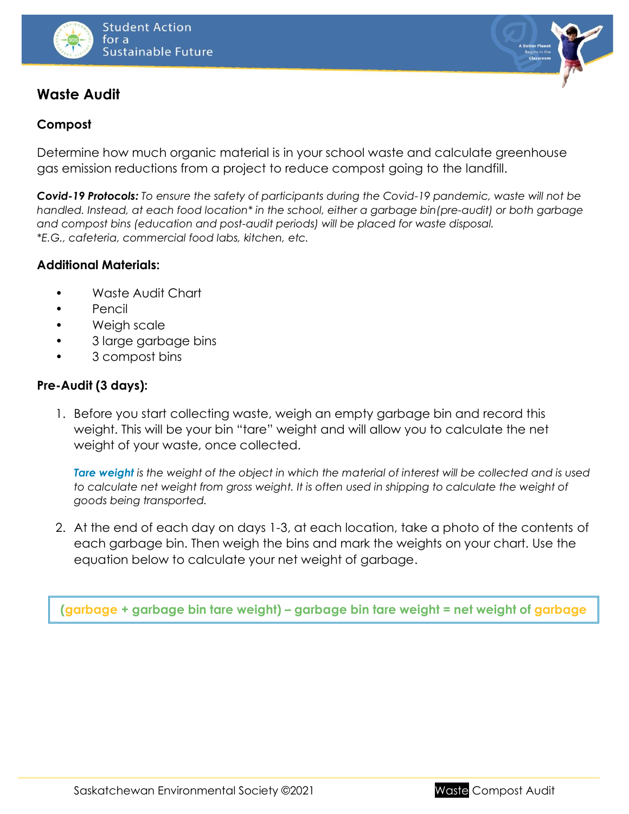

# **Waste Audit**

## **Compost**

Determine how much organic material is in your school waste and calculate greenhouse gas emission reductions from a project to reduce compost going to the landfill.

*Covid-19 Protocols: To ensure the safety of participants during the Covid-19 pandemic, waste will not be handled. Instead, at each food location\* in the school, either a garbage bin(pre-audit) or both garbage and compost bins (education and post-audit periods) will be placed for waste disposal. \*E.G., cafeteria, commercial food labs, kitchen, etc.*

#### **Additional Materials:**

- Waste Audit Chart
- Pencil
- Weigh scale
- 3 large garbage bins
- 3 compost bins

### **Pre-Audit (3 days):**

1. Before you start collecting waste, weigh an empty garbage bin and record this weight. This will be your bin "tare" weight and will allow you to calculate the net weight of your waste, once collected.

*Tare weight is the weight of the object in which the material of interest will be collected and is used*  to calculate net weight from gross weight. It is often used in shipping to calculate the weight of *goods being transported.*

2. At the end of each day on days 1-3, at each location, take a photo of the contents of each garbage bin. Then weigh the bins and mark the weights on your chart. Use the equation below to calculate your net weight of garbage.

**(garbage + garbage bin tare weight) – garbage bin tare weight = net weight of garbage**

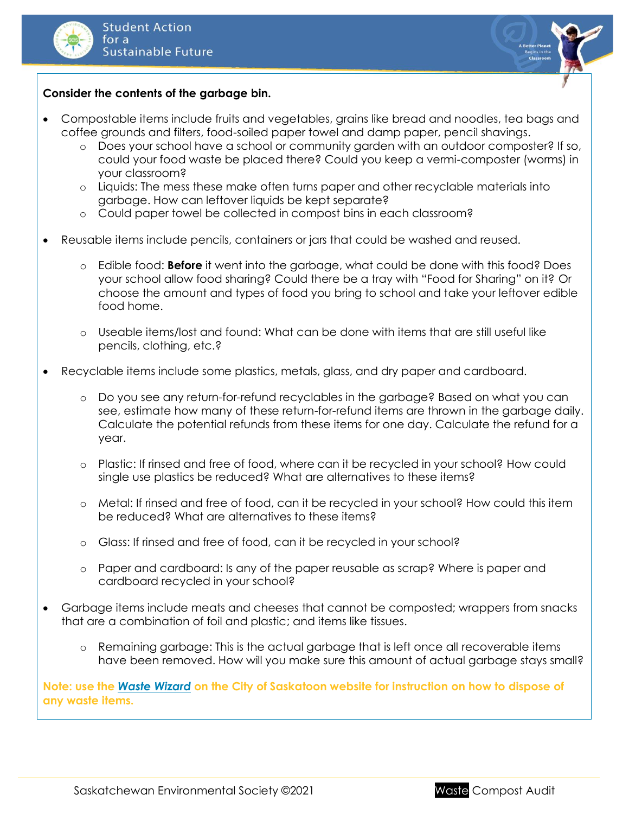



#### **Consider the contents of the garbage bin.**

- Compostable items include fruits and vegetables, grains like bread and noodles, tea bags and coffee grounds and filters, food-soiled paper towel and damp paper, pencil shavings.
	- o Does your school have a school or community garden with an outdoor composter? If so, could your food waste be placed there? Could you keep a vermi-composter (worms) in your classroom?
	- o Liquids: The mess these make often turns paper and other recyclable materials into garbage. How can leftover liquids be kept separate?
	- o Could paper towel be collected in compost bins in each classroom?
- Reusable items include pencils, containers or jars that could be washed and reused.
	- o Edible food: **Before** it went into the garbage, what could be done with this food? Does your school allow food sharing? Could there be a tray with "Food for Sharing" on it? Or choose the amount and types of food you bring to school and take your leftover edible food home.
	- o Useable items/lost and found: What can be done with items that are still useful like pencils, clothing, etc.?
- Recyclable items include some plastics, metals, glass, and dry paper and cardboard.
	- o Do you see any return-for-refund recyclables in the garbage? Based on what you can see, estimate how many of these return-for-refund items are thrown in the garbage daily. Calculate the potential refunds from these items for one day. Calculate the refund for a year.
	- o Plastic: If rinsed and free of food, where can it be recycled in your school? How could single use plastics be reduced? What are alternatives to these items?
	- o Metal: If rinsed and free of food, can it be recycled in your school? How could this item be reduced? What are alternatives to these items?
	- o Glass: If rinsed and free of food, can it be recycled in your school?
	- o Paper and cardboard: Is any of the paper reusable as scrap? Where is paper and cardboard recycled in your school?
- Garbage items include meats and cheeses that cannot be composted; wrappers from snacks that are a combination of foil and plastic; and items like tissues.
	- o Remaining garbage: This is the actual garbage that is left once all recoverable items have been removed. How will you make sure this amount of actual garbage stays small?

**Note: use the** *[Waste Wizard](https://www.saskatoon.ca/services-residents/waste-recycling/waste-wizard)* **on the City of Saskatoon website for instruction on how to dispose of any waste items.**

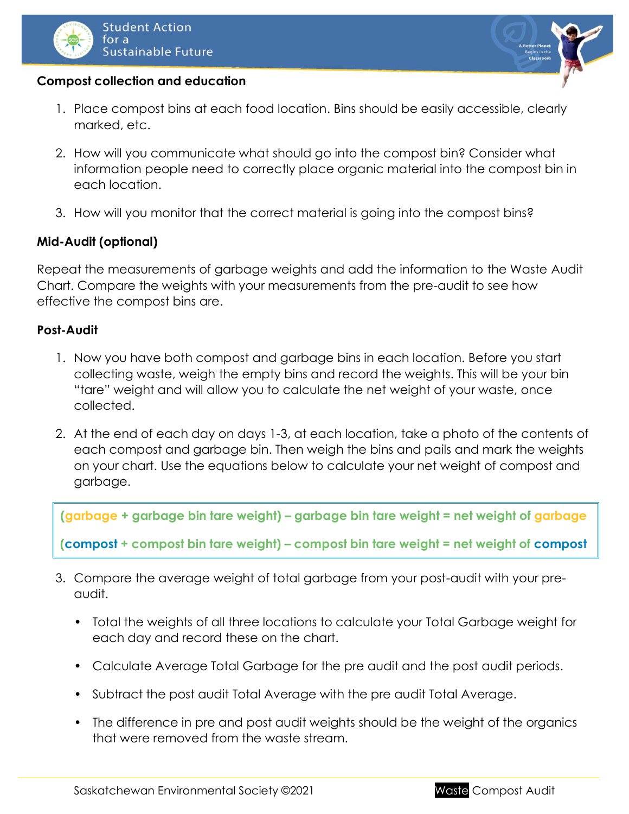



#### **Compost collection and education**

- 1. Place compost bins at each food location. Bins should be easily accessible, clearly marked, etc.
- 2. How will you communicate what should go into the compost bin? Consider what information people need to correctly place organic material into the compost bin in each location.
- 3. How will you monitor that the correct material is going into the compost bins?

#### **Mid-Audit (optional)**

Repeat the measurements of garbage weights and add the information to the Waste Audit Chart. Compare the weights with your measurements from the pre-audit to see how effective the compost bins are.

#### **Post-Audit**

- 1. Now you have both compost and garbage bins in each location. Before you start collecting waste, weigh the empty bins and record the weights. This will be your bin "tare" weight and will allow you to calculate the net weight of your waste, once collected.
- 2. At the end of each day on days 1-3, at each location, take a photo of the contents of each compost and garbage bin. Then weigh the bins and pails and mark the weights on your chart. Use the equations below to calculate your net weight of compost and garbage.

**(garbage + garbage bin tare weight) – garbage bin tare weight = net weight of garbage (compost + compost bin tare weight) – compost bin tare weight = net weight of compost**

- 3. Compare the average weight of total garbage from your post-audit with your preaudit.
	- Total the weights of all three locations to calculate your Total Garbage weight for each day and record these on the chart.
	- Calculate Average Total Garbage for the pre audit and the post audit periods.
	- Subtract the post audit Total Average with the pre audit Total Average.
	- The difference in pre and post audit weights should be the weight of the organics that were removed from the waste stream.

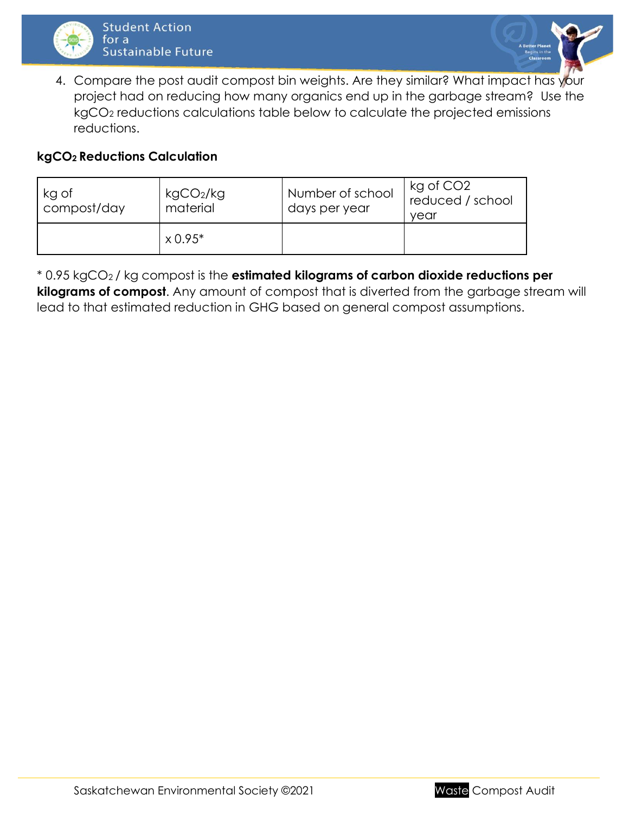



4. Compare the post audit compost bin weights. Are they similar? What impact has your project had on reducing how many organics end up in the garbage stream? Use the kgCO<sup>2</sup> reductions calculations table below to calculate the projected emissions reductions.

#### **kgCO2 Reductions Calculation**

| kg of<br>compost/day | kgCO <sub>2</sub> /kg<br>material | Number of school<br>days per year | kg of CO <sub>2</sub><br>reduced / school<br>vear |  |  |
|----------------------|-----------------------------------|-----------------------------------|---------------------------------------------------|--|--|
|                      | $\times 0.95^{*}$                 |                                   |                                                   |  |  |

\* 0.95 kgCO2 / kg compost is the **estimated kilograms of carbon dioxide reductions per kilograms of compost**. Any amount of compost that is diverted from the garbage stream will lead to that estimated reduction in GHG based on general compost assumptions.